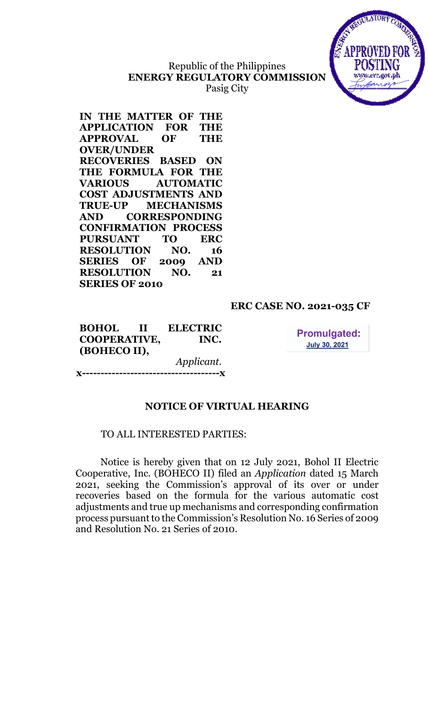## Republic of the Philippines ENERGY REGULATORY COMMISSION Pasig City



IN THE MATTER OF THE APPLICATION FOR THE APPROVAL OF THE OVER/UNDER RECOVERIES BASED ON THE FORMULA FOR THE VARIOUS AUTOMATIC COST ADJUSTMENTS AND TRUE-UP MECHANISMS AND CORRESPONDING CONFIRMATION PROCESS PURSUANT TO ERC RESOLUTION NO. 16 SERIES OF 2009 AND RESOLUTION NO. 21 SERIES OF 2010

## ERC CASE NO. 2021-035 CF

BOHOL II ELECTRIC COOPERATIVE, INC. (BOHECO II), Applicant.

**Promulgated: July 30, 2021** 

# NOTICE OF VIRTUAL HEARING

---------**x** 

#### TO ALL INTERESTED PARTIES:

Notice is hereby given that on 12 July 2021, Bohol II Electric Cooperative, Inc. (BOHECO II) filed an Application dated 15 March 2021, seeking the Commission's approval of its over or under recoveries based on the formula for the various automatic cost adjustments and true up mechanisms and corresponding confirmation process pursuant to the Commission's Resolution No. 16 Series of 2009 and Resolution No. 21 Series of 2010.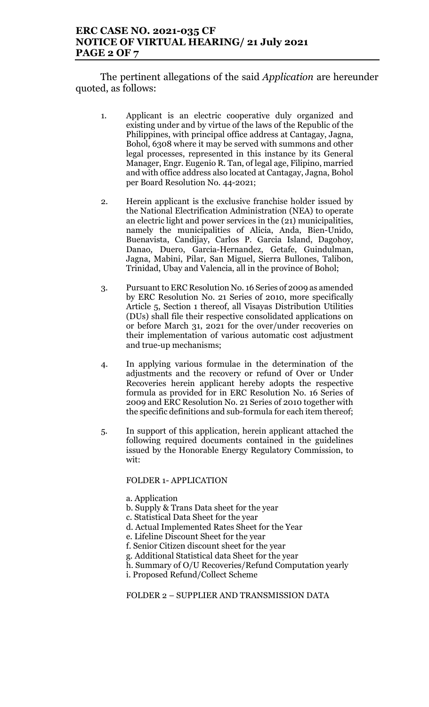## ERC CASE NO. 2021-035 CF NOTICE OF VIRTUAL HEARING/ 21 July 2021 PAGE 2 OF 7

The pertinent allegations of the said *Application* are hereunder quoted, as follows:

- 1. Applicant is an electric cooperative duly organized and existing under and by virtue of the laws of the Republic of the Philippines, with principal office address at Cantagay, Jagna, Bohol, 6308 where it may be served with summons and other legal processes, represented in this instance by its General Manager, Engr. Eugenio R. Tan, of legal age, Filipino, married and with office address also located at Cantagay, Jagna, Bohol per Board Resolution No. 44-2021;
- 2. Herein applicant is the exclusive franchise holder issued by the National Electrification Administration (NEA) to operate an electric light and power services in the (21) municipalities, namely the municipalities of Alicia, Anda, Bien-Unido, Buenavista, Candijay, Carlos P. Garcia Island, Dagohoy, Danao, Duero, Garcia-Hernandez, Getafe, Guindulman, Jagna, Mabini, Pilar, San Miguel, Sierra Bullones, Talibon, Trinidad, Ubay and Valencia, all in the province of Bohol;
- 3. Pursuant to ERC Resolution No. 16 Series of 2009 as amended by ERC Resolution No. 21 Series of 2010, more specifically Article 5, Section 1 thereof, all Visayas Distribution Utilities (DUs) shall file their respective consolidated applications on or before March 31, 2021 for the over/under recoveries on their implementation of various automatic cost adjustment and true-up mechanisms;
- 4. In applying various formulae in the determination of the adjustments and the recovery or refund of Over or Under Recoveries herein applicant hereby adopts the respective formula as provided for in ERC Resolution No. 16 Series of 2009 and ERC Resolution No. 21 Series of 2010 together with the specific definitions and sub-formula for each item thereof;
- 5. In support of this application, herein applicant attached the following required documents contained in the guidelines issued by the Honorable Energy Regulatory Commission, to wit:

#### FOLDER 1- APPLICATION

- a. Application
- b. Supply & Trans Data sheet for the year
- c. Statistical Data Sheet for the year
- d. Actual Implemented Rates Sheet for the Year
- e. Lifeline Discount Sheet for the year
- f. Senior Citizen discount sheet for the year
- g. Additional Statistical data Sheet for the year
- h. Summary of O/U Recoveries/Refund Computation yearly
- i. Proposed Refund/Collect Scheme

#### FOLDER 2 – SUPPLIER AND TRANSMISSION DATA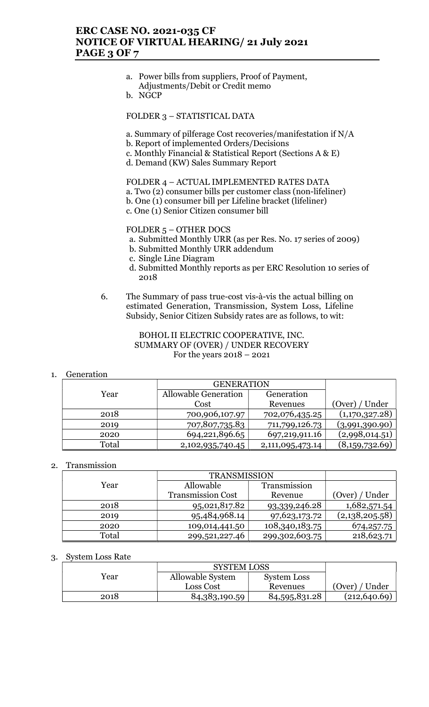## ERC CASE NO. 2021-035 CF NOTICE OF VIRTUAL HEARING/ 21 July 2021 PAGE 3 OF 7

- a. Power bills from suppliers, Proof of Payment, Adjustments/Debit or Credit memo
- b. NGCP

FOLDER 3 – STATISTICAL DATA

a. Summary of pilferage Cost recoveries/manifestation if N/A

- b. Report of implemented Orders/Decisions
- c. Monthly Financial & Statistical Report (Sections A & E)
- d. Demand (KW) Sales Summary Report

FOLDER 4 – ACTUAL IMPLEMENTED RATES DATA a. Two (2) consumer bills per customer class (non-lifeliner) b. One (1) consumer bill per Lifeline bracket (lifeliner)

c. One (1) Senior Citizen consumer bill

#### FOLDER 5 – OTHER DOCS

- a. Submitted Monthly URR (as per Res. No. 17 series of 2009)
- b. Submitted Monthly URR addendum
- c. Single Line Diagram
- d. Submitted Monthly reports as per ERC Resolution 10 series of 2018
- 6. The Summary of pass true-cost vis-à-vis the actual billing on estimated Generation, Transmission, System Loss, Lifeline Subsidy, Senior Citizen Subsidy rates are as follows, to wit:

#### BOHOL II ELECTRIC COOPERATIVE, INC. SUMMARY OF (OVER) / UNDER RECOVERY For the years 2018 – 2021

#### 1. Generation

|       | <b>GENERATION</b>    |                  |                |
|-------|----------------------|------------------|----------------|
| Year  | Allowable Generation | Generation       |                |
|       | Cost                 | Revenues         | (Over) / Under |
| 2018  | 700,906,107.97       | 702,076,435.25   | (1,170,327.28) |
| 2019  | 707,807,735.83       | 711,799,126.73   | (3,991,390.90) |
| 2020  | 694,221,896.65       | 697,219,911.16   | (2,998,014.51) |
| Total | 2,102,935,740.45     | 2,111,095,473.14 | (8,159,732.69) |

#### 2. Transmission

|       | <b>TRANSMISSION</b>      |                |                |
|-------|--------------------------|----------------|----------------|
| Year  | Allowable                | Transmission   |                |
|       | <b>Transmission Cost</b> | Revenue        | (Over) / Under |
| 2018  | 95,021,817.82            | 93,339,246.28  | 1,682,571.54   |
| 2019  | 95,484,968.14            | 97,623,173.72  | (2,138,205.58) |
| 2020  | 109,014,441.50           | 108,340,183.75 | 674, 257. 75   |
| Total | 299,521,227.46           | 299,302,603.75 | 218,623.71     |

#### 3. System Loss Rate

| <b>SYSTEM LOSS</b> |                  |                    |                |
|--------------------|------------------|--------------------|----------------|
| Year               | Allowable System | <b>System Loss</b> |                |
|                    | Loss Cost        | Revenues           | (Over) / Under |
| 2018               | 84,383,190.59    | 84,595,831.28      | (212, 640.69)  |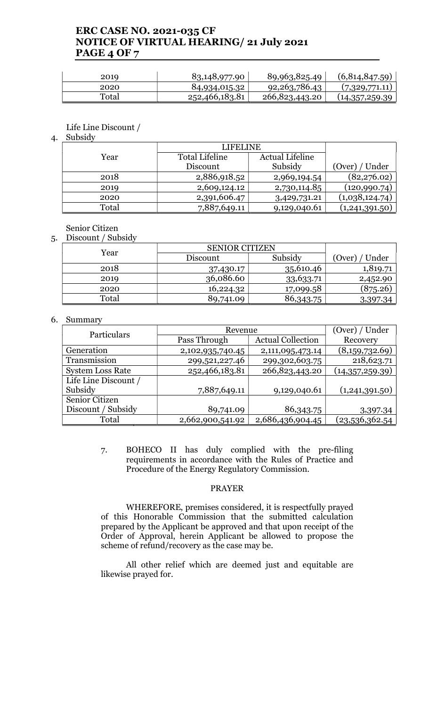## ERC CASE NO. 2021-035 CF NOTICE OF VIRTUAL HEARING/ 21 July 2021 PAGE 4 OF 7

| 2019  | 83,148,977.90  | 89,963,825.49    | (6,814,847.59)  |
|-------|----------------|------------------|-----------------|
| 2020  | 84,934,015.32  | 92, 263, 786. 43 | (7,329,771.11)  |
| Total | 252,466,183.81 | 266,823,443.20   | (14,357,259.39) |

Life Line Discount /

4. Subsidy

|       | <b>LIFELINE</b>       |                        |                |
|-------|-----------------------|------------------------|----------------|
| Year  | <b>Total Lifeline</b> | <b>Actual Lifeline</b> |                |
|       | Discount              | Subsidy                | (Over) / Under |
| 2018  | 2,886,918.52          | 2,969,194.54           | (82, 276.02)   |
| 2019  | 2,609,124.12          | 2,730,114.85           | (120,990.74)   |
| 2020  | 2,391,606.47          | 3,429,731.21           | (1,038,124.74) |
| Total | 7,887,649.11          | 9,129,040.61           | (1,241,391.50) |

Senior Citizen

5. Discount / Subsidy

| Year  | <b>SENIOR CITIZEN</b> |           |                 |
|-------|-----------------------|-----------|-----------------|
|       | Discount              | Subsidy   | (Over)<br>Under |
| 2018  | 37,430.17             | 35,610.46 | 1,819.71        |
| 2019  | 36,086.60             | 33,633.71 | 2,452.90        |
| 2020  | 16,224.32             | 17,099.58 | (875.26)        |
| Total | 89,741.09             | 86,343.75 | 3,397.34        |

#### 6. Summary

| Particulars             | Revenue          |                          | (Over) / Under  |
|-------------------------|------------------|--------------------------|-----------------|
|                         | Pass Through     | <b>Actual Collection</b> | Recovery        |
| Generation              | 2,102,935,740.45 | 2,111,095,473.14         | (8,159,732.69)  |
| Transmission            | 299,521,227.46   | 299,302,603.75           | 218,623.71      |
| <b>System Loss Rate</b> | 252,466,183.81   | 266,823,443.20           | (14,357,259.39) |
| Life Line Discount /    |                  |                          |                 |
| Subsidy                 | 7,887,649.11     | 9,129,040.61             | (1,241,391.50)  |
| Senior Citizen          |                  |                          |                 |
| Discount / Subsidy      | 89,741.09        | 86,343.75                | 3,397.34        |
| Total                   | 2,662,900,541.92 | 2,686,436,904.45         | (23,536,362.54  |

7. BOHECO II has duly complied with the pre-filing requirements in accordance with the Rules of Practice and Procedure of the Energy Regulatory Commission.

### PRAYER

WHEREFORE, premises considered, it is respectfully prayed of this Honorable Commission that the submitted calculation prepared by the Applicant be approved and that upon receipt of the Order of Approval, herein Applicant be allowed to propose the scheme of refund/recovery as the case may be.

All other relief which are deemed just and equitable are likewise prayed for.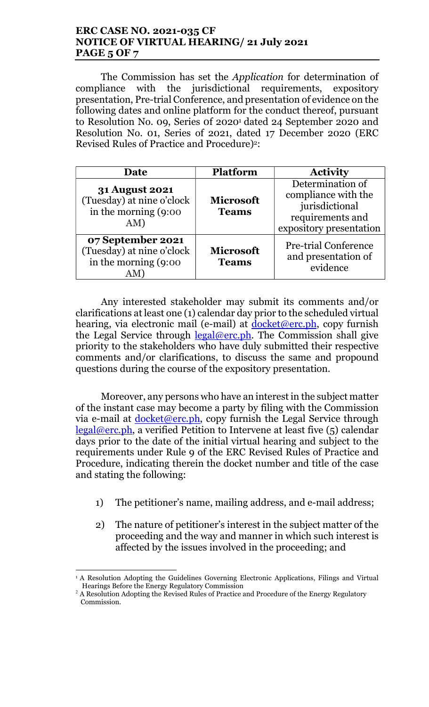## ERC CASE NO. 2021-035 CF NOTICE OF VIRTUAL HEARING/ 21 July 2021 PAGE 5 OF 7

The Commission has set the Application for determination of compliance with the jurisdictional requirements, expository presentation, Pre-trial Conference, and presentation of evidence on the following dates and online platform for the conduct thereof, pursuant to Resolution No. 09, Series 0f 2020<sup>1</sup> dated 24 September 2020 and Resolution No. 01, Series of 2021, dated 17 December 2020 (ERC Revised Rules of Practice and Procedure)<sup>2</sup>:

| Date                                                                              | <b>Platform</b>                  | <b>Activity</b>                                                                                          |
|-----------------------------------------------------------------------------------|----------------------------------|----------------------------------------------------------------------------------------------------------|
| <b>31 August 2021</b><br>(Tuesday) at nine o'clock<br>in the morning (9:00<br>AM) | <b>Microsoft</b><br><b>Teams</b> | Determination of<br>compliance with the<br>jurisdictional<br>requirements and<br>expository presentation |
| 07 September 2021<br>(Tuesday) at nine o'clock<br>in the morning $(9:00)$         | <b>Microsoft</b><br><b>Teams</b> | <b>Pre-trial Conference</b><br>and presentation of<br>evidence                                           |

Any interested stakeholder may submit its comments and/or clarifications at least one (1) calendar day prior to the scheduled virtual hearing, via electronic mail (e-mail) at docket@erc.ph, copy furnish the Legal Service through  $\frac{\text{legal@erc.ph.}}{\text{Real@erc.ph.}}$  The Commission shall give priority to the stakeholders who have duly submitted their respective comments and/or clarifications, to discuss the same and propound questions during the course of the expository presentation.

Moreover, any persons who have an interest in the subject matter of the instant case may become a party by filing with the Commission via e-mail at  $d$ ocket@erc.ph, copy furnish the Legal Service through  $legal@erc.ph$ , a verified Petition to Intervene at least five  $(5)$  calendar days prior to the date of the initial virtual hearing and subject to the requirements under Rule 9 of the ERC Revised Rules of Practice and Procedure, indicating therein the docket number and title of the case and stating the following:

- 1) The petitioner's name, mailing address, and e-mail address;
- 2) The nature of petitioner's interest in the subject matter of the proceeding and the way and manner in which such interest is affected by the issues involved in the proceeding; and

 <sup>1</sup> A Resolution Adopting the Guidelines Governing Electronic Applications, Filings and Virtual Hearings Before the Energy Regulatory Commission

<sup>&</sup>lt;sup>2</sup> A Resolution Adopting the Revised Rules of Practice and Procedure of the Energy Regulatory Commission.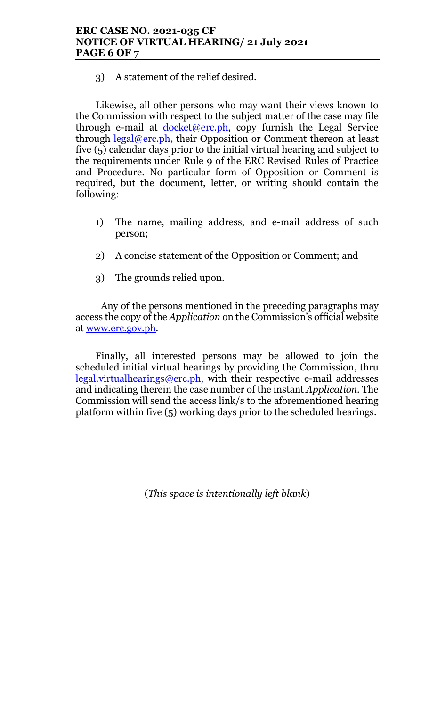3) A statement of the relief desired.

Likewise, all other persons who may want their views known to the Commission with respect to the subject matter of the case may file through e-mail at  $\frac{docket@erc.ph.}{docket@erc.ph.}$  copy furnish the Legal Service through  $\text{legal@erc.ph},$  their Opposition or Comment thereon at least five (5) calendar days prior to the initial virtual hearing and subject to the requirements under Rule 9 of the ERC Revised Rules of Practice and Procedure. No particular form of Opposition or Comment is required, but the document, letter, or writing should contain the following:

- 1) The name, mailing address, and e-mail address of such person;
- 2) A concise statement of the Opposition or Comment; and
- 3) The grounds relied upon.

Any of the persons mentioned in the preceding paragraphs may access the copy of the Application on the Commission's official website at www.erc.gov.ph.

Finally, all interested persons may be allowed to join the scheduled initial virtual hearings by providing the Commission, thru legal.virtualhearings@erc.ph, with their respective e-mail addresses and indicating therein the case number of the instant Application. The Commission will send the access link/s to the aforementioned hearing platform within five (5) working days prior to the scheduled hearings.

(This space is intentionally left blank)